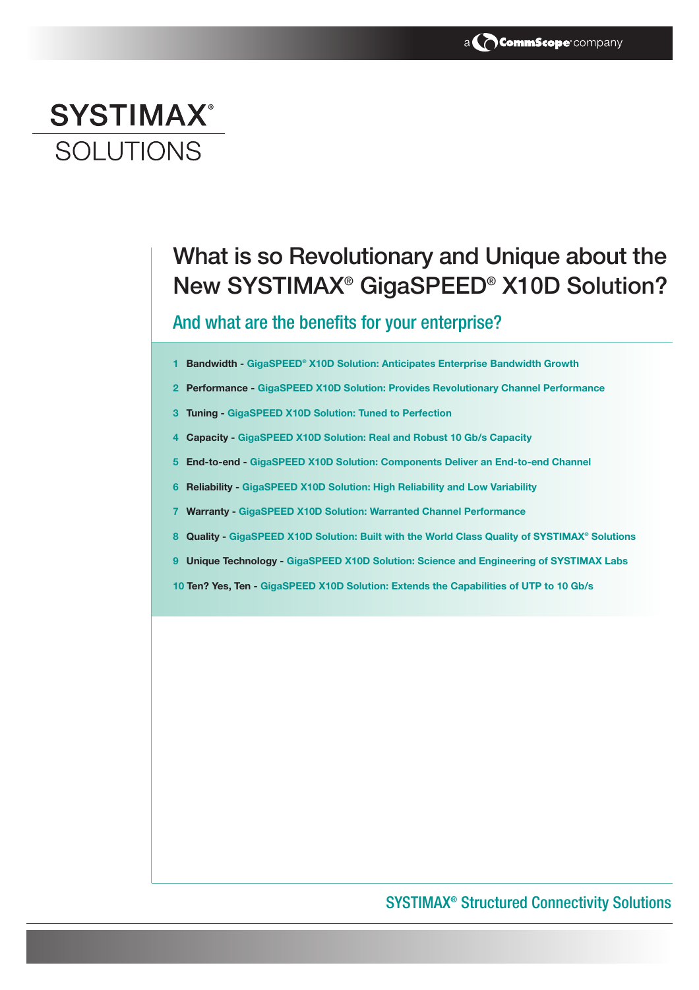# **SYSTIMAX® SOLUTIONS**

## What is so Revolutionary and Unique about the New SYSTIMAX® GigaSPEED® X10D Solution?

### And what are the benefits for your enterprise?

- **1 Bandwidth GigaSPEED® X10D Solution: Anticipates Enterprise Bandwidth Growth**
- **2 Performance GigaSPEED X10D Solution: Provides Revolutionary Channel Performance**
- **3 Tuning GigaSPEED X10D Solution: Tuned to Perfection**
- **4 Capacity GigaSPEED X10D Solution: Real and Robust 10 Gb/s Capacity**
- **5 End-to-end GigaSPEED X10D Solution: Components Deliver an End-to-end Channel**
- **6 Reliability GigaSPEED X10D Solution: High Reliability and Low Variability**
- **7 Warranty GigaSPEED X10D Solution: Warranted Channel Performance**
- **8 Quality GigaSPEED X10D Solution: Built with the World Class Quality of SYSTIMAX® Solutions**
- **9 Unique Technology GigaSPEED X10D Solution: Science and Engineering of SYSTIMAX Labs**
- **10 Ten? Yes, Ten GigaSPEED X10D Solution: Extends the Capabilities of UTP to 10 Gb/s**

### SYSTIMAX® Structured Connectivity Solutions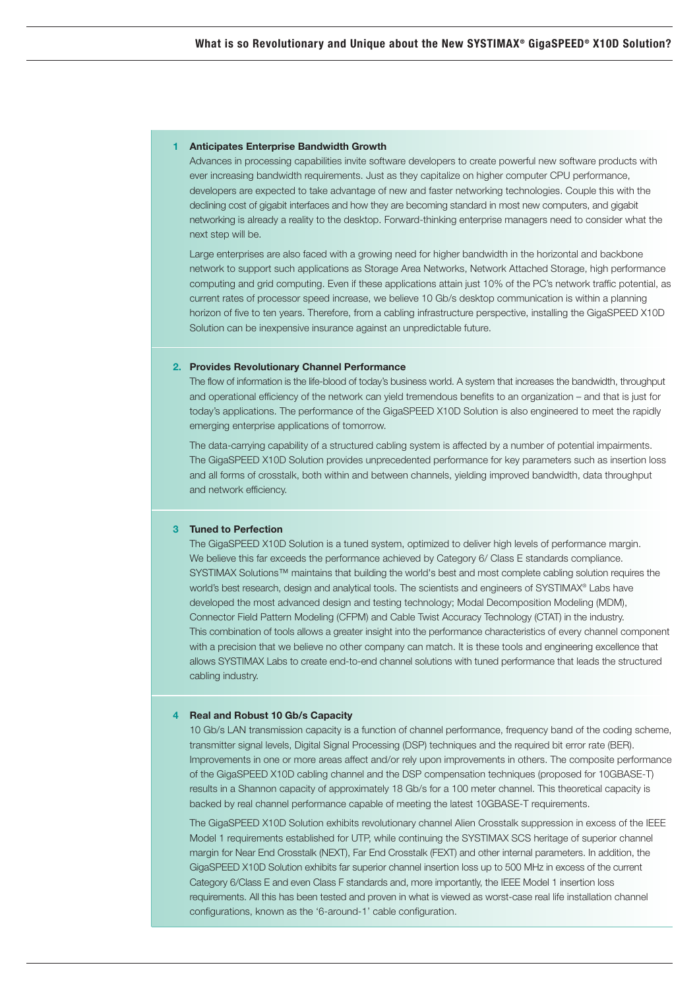#### **1 Anticipates Enterprise Bandwidth Growth**

Advances in processing capabilities invite software developers to create powerful new software products with ever increasing bandwidth requirements. Just as they capitalize on higher computer CPU performance, developers are expected to take advantage of new and faster networking technologies. Couple this with the declining cost of gigabit interfaces and how they are becoming standard in most new computers, and gigabit networking is already a reality to the desktop. Forward-thinking enterprise managers need to consider what the next step will be.

Large enterprises are also faced with a growing need for higher bandwidth in the horizontal and backbone network to support such applications as Storage Area Networks, Network Attached Storage, high performance computing and grid computing. Even if these applications attain just 10% of the PC's network traffic potential, as current rates of processor speed increase, we believe 10 Gb/s desktop communication is within a planning horizon of five to ten years. Therefore, from a cabling infrastructure perspective, installing the GigaSPEED X10D Solution can be inexpensive insurance against an unpredictable future.

#### **2. Provides Revolutionary Channel Performance**

The flow of information is the life-blood of today's business world. A system that increases the bandwidth, throughput and operational efficiency of the network can yield tremendous benefits to an organization – and that is just for today's applications. The performance of the GigaSPEED X10D Solution is also engineered to meet the rapidly emerging enterprise applications of tomorrow.

The data-carrying capability of a structured cabling system is affected by a number of potential impairments. The GigaSPEED X10D Solution provides unprecedented performance for key parameters such as insertion loss and all forms of crosstalk, both within and between channels, yielding improved bandwidth, data throughput and network efficiency.

#### **3 Tuned to Perfection**

The GigaSPEED X10D Solution is a tuned system, optimized to deliver high levels of performance margin. We believe this far exceeds the performance achieved by Category 6/ Class E standards compliance. SYSTIMAX Solutions™ maintains that building the world's best and most complete cabling solution requires the world's best research, design and analytical tools. The scientists and engineers of SYSTIMAX® Labs have developed the most advanced design and testing technology; Modal Decomposition Modeling (MDM), Connector Field Pattern Modeling (CFPM) and Cable Twist Accuracy Technology (CTAT) in the industry. This combination of tools allows a greater insight into the performance characteristics of every channel component with a precision that we believe no other company can match. It is these tools and engineering excellence that allows SYSTIMAX Labs to create end-to-end channel solutions with tuned performance that leads the structured cabling industry.

#### **4 Real and Robust 10 Gb/s Capacity**

10 Gb/s LAN transmission capacity is a function of channel performance, frequency band of the coding scheme, transmitter signal levels, Digital Signal Processing (DSP) techniques and the required bit error rate (BER). Improvements in one or more areas affect and/or rely upon improvements in others. The composite performance of the GigaSPEED X10D cabling channel and the DSP compensation techniques (proposed for 10GBASE-T) results in a Shannon capacity of approximately 18 Gb/s for a 100 meter channel. This theoretical capacity is backed by real channel performance capable of meeting the latest 10GBASE-T requirements.

The GigaSPEED X10D Solution exhibits revolutionary channel Alien Crosstalk suppression in excess of the IEEE Model 1 requirements established for UTP, while continuing the SYSTIMAX SCS heritage of superior channel margin for Near End Crosstalk (NEXT), Far End Crosstalk (FEXT) and other internal parameters. In addition, the GigaSPEED X10D Solution exhibits far superior channel insertion loss up to 500 MHz in excess of the current Category 6/Class E and even Class F standards and, more importantly, the IEEE Model 1 insertion loss requirements. All this has been tested and proven in what is viewed as worst-case real life installation channel configurations, known as the '6-around-1' cable configuration.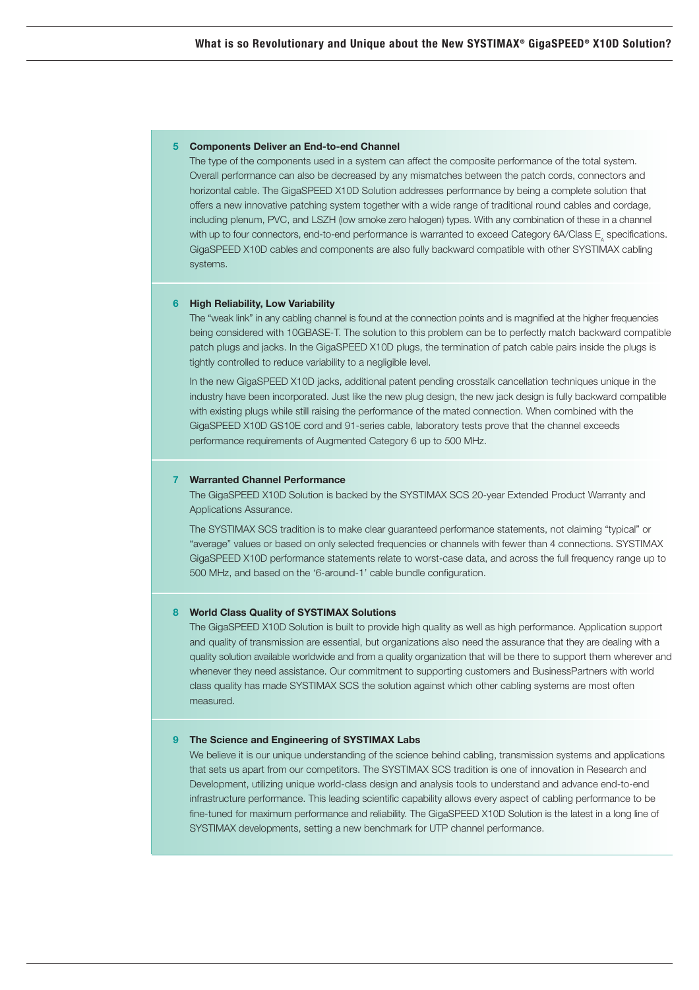#### **5 Components Deliver an End-to-end Channel**

The type of the components used in a system can affect the composite performance of the total system. Overall performance can also be decreased by any mismatches between the patch cords, connectors and horizontal cable. The GigaSPEED X10D Solution addresses performance by being a complete solution that offers a new innovative patching system together with a wide range of traditional round cables and cordage, including plenum, PVC, and LSZH (low smoke zero halogen) types. With any combination of these in a channel with up to four connectors, end-to-end performance is warranted to exceed Category 6A/Class E, specifications. GigaSPEED X10D cables and components are also fully backward compatible with other SYSTIMAX cabling systems.

#### **6 High Reliability, Low Variability**

The "weak link" in any cabling channel is found at the connection points and is magnified at the higher frequencies being considered with 10GBASE-T. The solution to this problem can be to perfectly match backward compatible patch plugs and jacks. In the GigaSPEED X10D plugs, the termination of patch cable pairs inside the plugs is tightly controlled to reduce variability to a negligible level.

In the new GigaSPEED X10D jacks, additional patent pending crosstalk cancellation techniques unique in the industry have been incorporated. Just like the new plug design, the new jack design is fully backward compatible with existing plugs while still raising the performance of the mated connection. When combined with the GigaSPEED X10D GS10E cord and 91-series cable, laboratory tests prove that the channel exceeds performance requirements of Augmented Category 6 up to 500 MHz.

#### **7 Warranted Channel Performance**

The GigaSPEED X10D Solution is backed by the SYSTIMAX SCS 20-year Extended Product Warranty and Applications Assurance.

The SYSTIMAX SCS tradition is to make clear guaranteed performance statements, not claiming "typical" or "average" values or based on only selected frequencies or channels with fewer than 4 connections. SYSTIMAX GigaSPEED X10D performance statements relate to worst-case data, and across the full frequency range up to 500 MHz, and based on the '6-around-1' cable bundle configuration.

#### **8 World Class Quality of SYSTIMAX Solutions**

The GigaSPEED X10D Solution is built to provide high quality as well as high performance. Application support and quality of transmission are essential, but organizations also need the assurance that they are dealing with a quality solution available worldwide and from a quality organization that will be there to support them wherever and whenever they need assistance. Our commitment to supporting customers and BusinessPartners with world class quality has made SYSTIMAX SCS the solution against which other cabling systems are most often measured.

#### **9 The Science and Engineering of SYSTIMAX Labs**

We believe it is our unique understanding of the science behind cabling, transmission systems and applications that sets us apart from our competitors. The SYSTIMAX SCS tradition is one of innovation in Research and Development, utilizing unique world-class design and analysis tools to understand and advance end-to-end infrastructure performance. This leading scientific capability allows every aspect of cabling performance to be fine-tuned for maximum performance and reliability. The GigaSPEED X10D Solution is the latest in a long line of SYSTIMAX developments, setting a new benchmark for UTP channel performance.